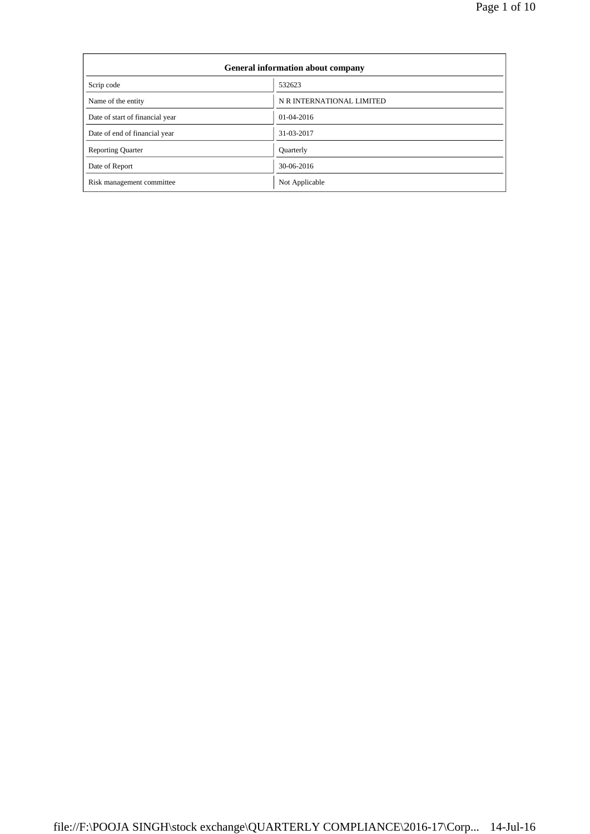| <b>General information about company</b> |                           |  |  |  |
|------------------------------------------|---------------------------|--|--|--|
| Scrip code                               | 532623                    |  |  |  |
| Name of the entity                       | N R INTERNATIONAL LIMITED |  |  |  |
| Date of start of financial year          | 01-04-2016                |  |  |  |
| Date of end of financial year            | 31-03-2017                |  |  |  |
| <b>Reporting Quarter</b>                 | Quarterly                 |  |  |  |
| Date of Report                           | 30-06-2016                |  |  |  |
| Risk management committee                | Not Applicable            |  |  |  |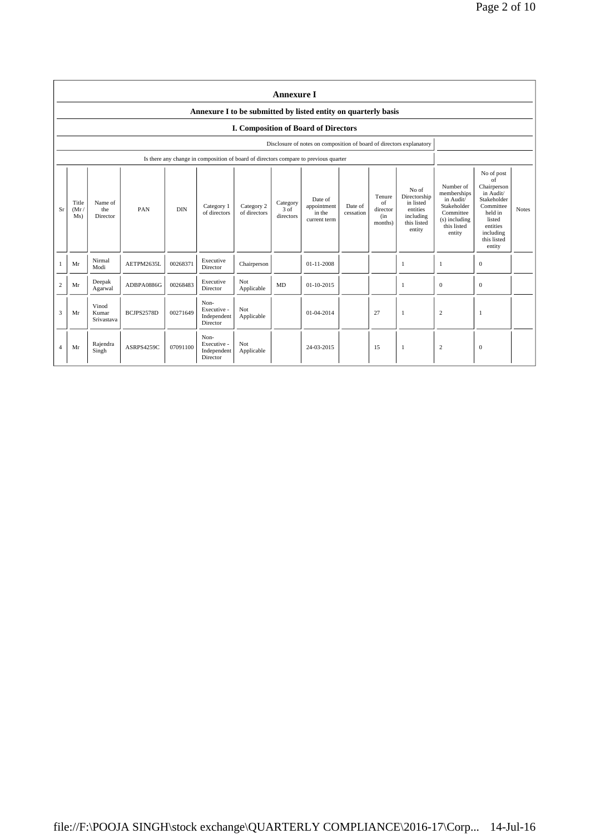|                | <b>Annexure I</b>                                              |                              |            |            |                                                |                            |                                         |                                                                                      |                      |                                            |                                                                                      |                                                                                                             |                                                                                                                                                 |              |
|----------------|----------------------------------------------------------------|------------------------------|------------|------------|------------------------------------------------|----------------------------|-----------------------------------------|--------------------------------------------------------------------------------------|----------------------|--------------------------------------------|--------------------------------------------------------------------------------------|-------------------------------------------------------------------------------------------------------------|-------------------------------------------------------------------------------------------------------------------------------------------------|--------------|
|                | Annexure I to be submitted by listed entity on quarterly basis |                              |            |            |                                                |                            |                                         |                                                                                      |                      |                                            |                                                                                      |                                                                                                             |                                                                                                                                                 |              |
|                |                                                                |                              |            |            |                                                |                            |                                         | <b>I. Composition of Board of Directors</b>                                          |                      |                                            |                                                                                      |                                                                                                             |                                                                                                                                                 |              |
|                |                                                                |                              |            |            |                                                |                            |                                         | Disclosure of notes on composition of board of directors explanatory                 |                      |                                            |                                                                                      |                                                                                                             |                                                                                                                                                 |              |
|                |                                                                |                              |            |            |                                                |                            |                                         | Is there any change in composition of board of directors compare to previous quarter |                      |                                            |                                                                                      |                                                                                                             |                                                                                                                                                 |              |
| Sr             | Title<br>(Mr)<br>Ms)                                           | Name of<br>the<br>Director   | PAN        | <b>DIN</b> | Category 1<br>of directors                     | Category 2<br>of directors | Category<br>$3 \text{ of}$<br>directors | Date of<br>appointment<br>in the<br>current term                                     | Date of<br>cessation | Tenure<br>of<br>director<br>(in<br>months) | No of<br>Directorship<br>in listed<br>entities<br>including<br>this listed<br>entity | Number of<br>memberships<br>in Audit/<br>Stakeholder<br>Committee<br>(s) including<br>this listed<br>entity | No of post<br>of<br>Chairperson<br>in Audit/<br>Stakeholder<br>Committee<br>held in<br>listed<br>entities<br>including<br>this listed<br>entity | <b>Notes</b> |
|                | Mr                                                             | Nirmal<br>Modi               | AETPM2635L | 00268371   | Executive<br>Director                          | Chairperson                |                                         | 01-11-2008                                                                           |                      |                                            | 1                                                                                    |                                                                                                             | $\mathbf{0}$                                                                                                                                    |              |
| $\overline{c}$ | Mr                                                             | Deepak<br>Agarwal            | ADBPA0886G | 00268483   | Executive<br>Director                          | Not<br>Applicable          | MD                                      | $01 - 10 - 2015$                                                                     |                      |                                            | -1                                                                                   | $\mathbf{0}$                                                                                                | $\overline{0}$                                                                                                                                  |              |
| 3              | Mr                                                             | Vinod<br>Kumar<br>Srivastava | BCJPS2578D | 00271649   | Non-<br>Executive -<br>Independent<br>Director | Not<br>Applicable          |                                         | 01-04-2014                                                                           |                      | 27                                         | $\mathbf{1}$                                                                         | $\overline{c}$                                                                                              | 1                                                                                                                                               |              |
| 4              | Mr                                                             | Rajendra<br>Singh            | ASRPS4259C | 07091100   | Non-<br>Executive -<br>Independent<br>Director | Not<br>Applicable          |                                         | 24-03-2015                                                                           |                      | 15                                         | $\mathbf{1}$                                                                         | $\overline{c}$                                                                                              | $\mathbf{0}$                                                                                                                                    |              |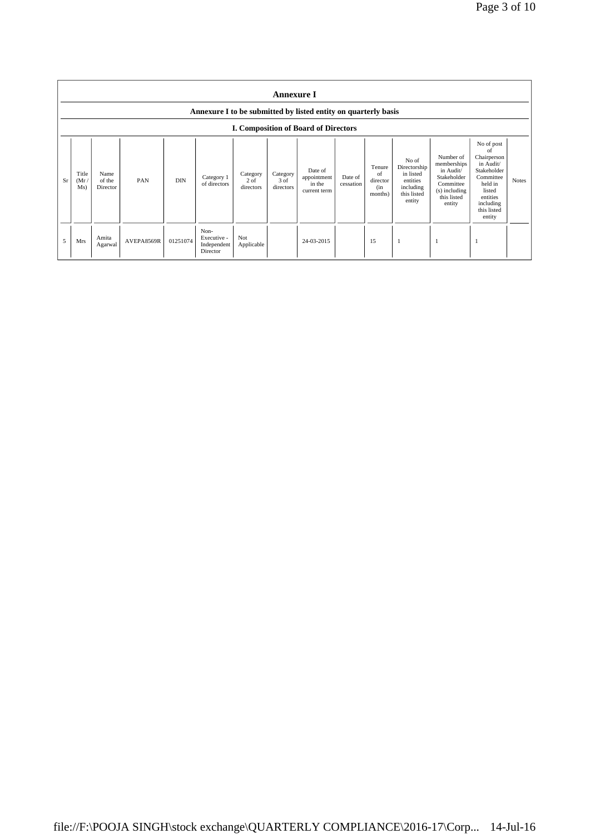|    | <b>Annexure I</b><br>Annexure I to be submitted by listed entity on quarterly basis |                            |            |            |                                                |                                 |                               |                                                  |                      |                                             |                                                                                      |                                                                                                             |                                                                                                                                                 |              |
|----|-------------------------------------------------------------------------------------|----------------------------|------------|------------|------------------------------------------------|---------------------------------|-------------------------------|--------------------------------------------------|----------------------|---------------------------------------------|--------------------------------------------------------------------------------------|-------------------------------------------------------------------------------------------------------------|-------------------------------------------------------------------------------------------------------------------------------------------------|--------------|
|    | <b>I. Composition of Board of Directors</b>                                         |                            |            |            |                                                |                                 |                               |                                                  |                      |                                             |                                                                                      |                                                                                                             |                                                                                                                                                 |              |
| Sr | Title<br>(Mr)<br>Ms)                                                                | Name<br>of the<br>Director | PAN        | <b>DIN</b> | Category 1<br>of directors                     | Category<br>$2$ of<br>directors | Category<br>3 of<br>directors | Date of<br>appointment<br>in the<br>current term | Date of<br>cessation | Tenure<br>of<br>director<br>(in)<br>months) | No of<br>Directorship<br>in listed<br>entities<br>including<br>this listed<br>entity | Number of<br>memberships<br>in Audit/<br>Stakeholder<br>Committee<br>(s) including<br>this listed<br>entity | No of post<br>of<br>Chairperson<br>in Audit/<br>Stakeholder<br>Committee<br>held in<br>listed<br>entities<br>including<br>this listed<br>entity | <b>Notes</b> |
| 5  | Mrs                                                                                 | Amita<br>Agarwal           | AVEPA8569R | 01251074   | Non-<br>Executive -<br>Independent<br>Director | Not<br>Applicable               |                               | 24-03-2015                                       |                      | 15                                          |                                                                                      | -1                                                                                                          |                                                                                                                                                 |              |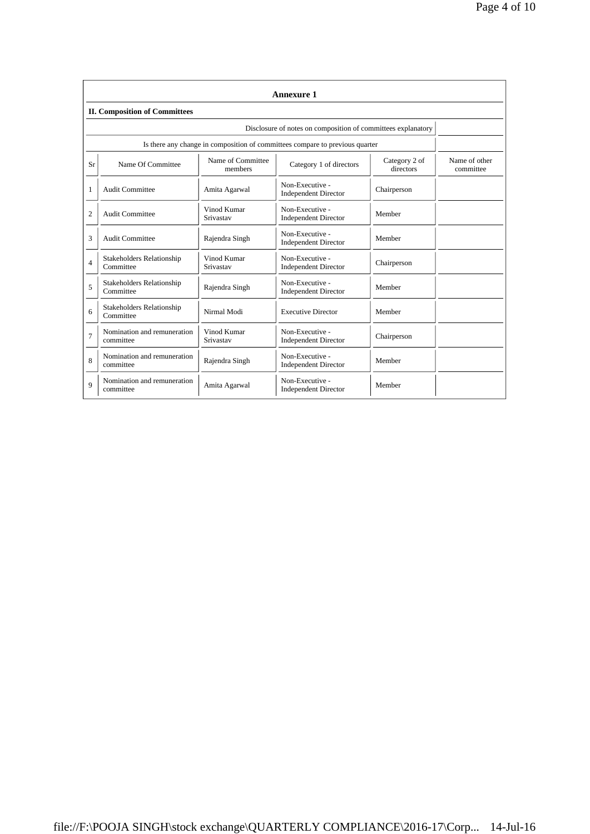|                | <b>Annexure 1</b>                                                            |                          |                                                |                            |                            |  |  |  |  |
|----------------|------------------------------------------------------------------------------|--------------------------|------------------------------------------------|----------------------------|----------------------------|--|--|--|--|
|                | <b>II. Composition of Committees</b>                                         |                          |                                                |                            |                            |  |  |  |  |
|                | Disclosure of notes on composition of committees explanatory                 |                          |                                                |                            |                            |  |  |  |  |
|                | Is there any change in composition of committees compare to previous quarter |                          |                                                |                            |                            |  |  |  |  |
| Sr             | Name of Committee<br>Name Of Committee<br>members                            |                          | Category 1 of directors                        | Category 2 of<br>directors | Name of other<br>committee |  |  |  |  |
| 1              | <b>Audit Committee</b>                                                       | Amita Agarwal            | Non-Executive -<br><b>Independent Director</b> | Chairperson                |                            |  |  |  |  |
| $\overline{c}$ | <b>Audit Committee</b>                                                       | Vinod Kumar<br>Srivastav | Non-Executive -<br><b>Independent Director</b> | Member                     |                            |  |  |  |  |
| 3              | Audit Committee                                                              | Rajendra Singh           | Non-Executive -<br><b>Independent Director</b> | Member                     |                            |  |  |  |  |
| $\overline{4}$ | <b>Stakeholders Relationship</b><br>Committee                                | Vinod Kumar<br>Srivastav | Non-Executive -<br><b>Independent Director</b> | Chairperson                |                            |  |  |  |  |
| 5              | <b>Stakeholders Relationship</b><br>Committee                                | Rajendra Singh           | Non-Executive -<br><b>Independent Director</b> | Member                     |                            |  |  |  |  |
| 6              | <b>Stakeholders Relationship</b><br>Committee                                | Nirmal Modi              | <b>Executive Director</b>                      | Member                     |                            |  |  |  |  |
| 7              | Nomination and remuneration<br>committee                                     | Vinod Kumar<br>Srivastav | Non-Executive -<br><b>Independent Director</b> | Chairperson                |                            |  |  |  |  |
| 8              | Nomination and remuneration<br>committee                                     | Rajendra Singh           | Non-Executive -<br><b>Independent Director</b> | Member                     |                            |  |  |  |  |
| $\overline{Q}$ | Nomination and remuneration<br>committee                                     | Amita Agarwal            | Non-Executive -<br><b>Independent Director</b> | Member                     |                            |  |  |  |  |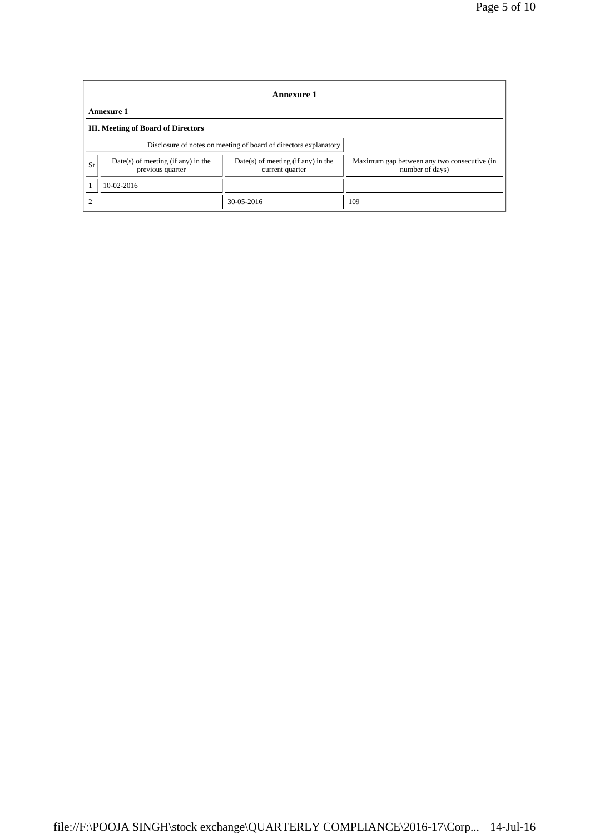|           | Annexure 1                                                       |                                                         |                                                                |  |  |  |  |
|-----------|------------------------------------------------------------------|---------------------------------------------------------|----------------------------------------------------------------|--|--|--|--|
|           | <b>Annexure 1</b>                                                |                                                         |                                                                |  |  |  |  |
|           | <b>III.</b> Meeting of Board of Directors                        |                                                         |                                                                |  |  |  |  |
|           | Disclosure of notes on meeting of board of directors explanatory |                                                         |                                                                |  |  |  |  |
| Sr        | Date(s) of meeting (if any) in the<br>previous quarter           | $Date(s)$ of meeting (if any) in the<br>current quarter | Maximum gap between any two consecutive (in<br>number of days) |  |  |  |  |
|           | 10-02-2016                                                       |                                                         |                                                                |  |  |  |  |
| $\bigcap$ |                                                                  | 30-05-2016                                              | 109                                                            |  |  |  |  |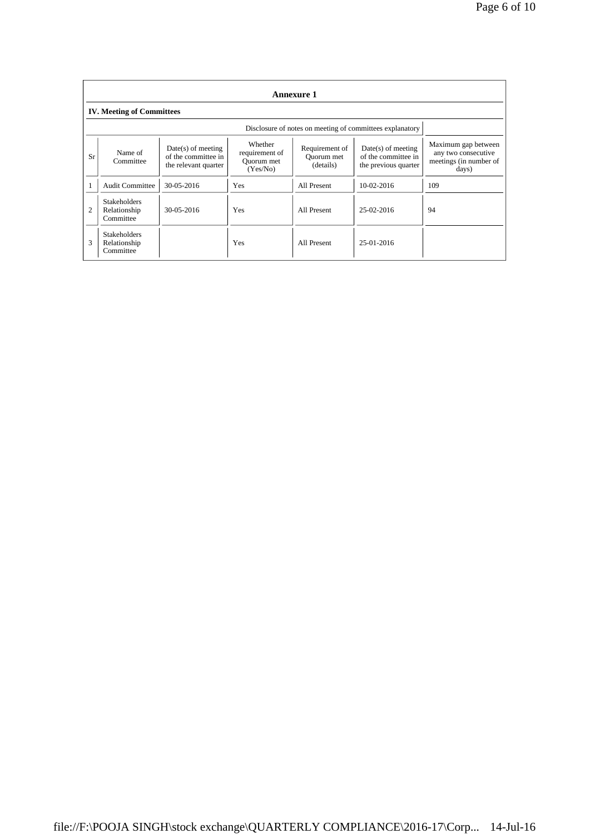|                | Annexure 1                                       |                                                                     |                                                     |                                           |                                                                     |                                                                               |  |  |
|----------------|--------------------------------------------------|---------------------------------------------------------------------|-----------------------------------------------------|-------------------------------------------|---------------------------------------------------------------------|-------------------------------------------------------------------------------|--|--|
|                | <b>IV. Meeting of Committees</b>                 |                                                                     |                                                     |                                           |                                                                     |                                                                               |  |  |
|                |                                                  | Disclosure of notes on meeting of committees explanatory            |                                                     |                                           |                                                                     |                                                                               |  |  |
| Sr             | Name of<br>Committee                             | $Date(s)$ of meeting<br>of the committee in<br>the relevant quarter | Whether<br>requirement of<br>Ouorum met<br>(Yes/No) | Requirement of<br>Quorum met<br>(details) | $Date(s)$ of meeting<br>of the committee in<br>the previous quarter | Maximum gap between<br>any two consecutive<br>meetings (in number of<br>days) |  |  |
|                | <b>Audit Committee</b>                           | 30-05-2016                                                          | <b>Yes</b>                                          | All Present                               | 10-02-2016                                                          | 109                                                                           |  |  |
| $\overline{c}$ | <b>Stakeholders</b><br>Relationship<br>Committee | $30 - 05 - 2016$                                                    | Yes                                                 | All Present                               | 25-02-2016                                                          | 94                                                                            |  |  |
| 3              | <b>Stakeholders</b><br>Relationship<br>Committee |                                                                     | Yes                                                 | All Present                               | 25-01-2016                                                          |                                                                               |  |  |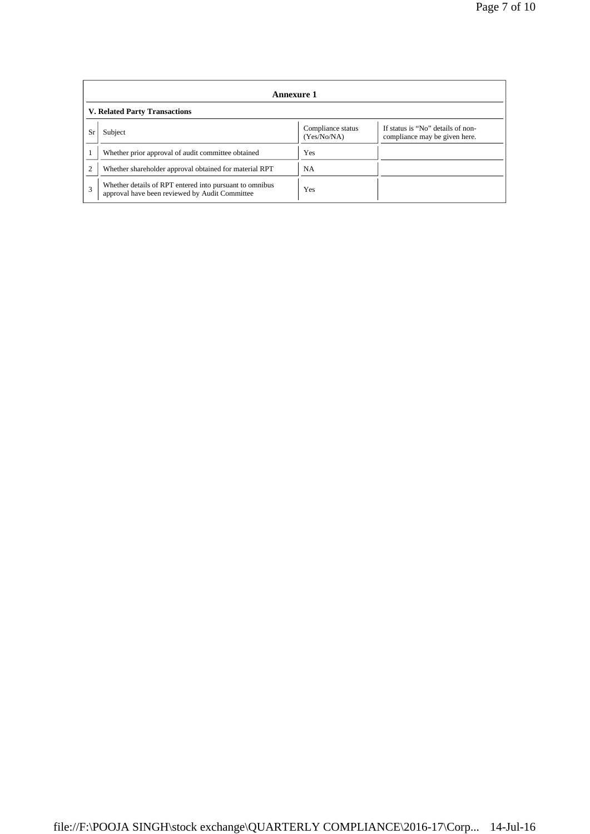|    | Annexure 1                                                                                                |                                  |                                                                    |  |  |  |  |
|----|-----------------------------------------------------------------------------------------------------------|----------------------------------|--------------------------------------------------------------------|--|--|--|--|
|    | <b>V. Related Party Transactions</b>                                                                      |                                  |                                                                    |  |  |  |  |
| Sr | Subject                                                                                                   | Compliance status<br>(Yes/No/NA) | If status is "No" details of non-<br>compliance may be given here. |  |  |  |  |
|    | Whether prior approval of audit committee obtained                                                        | <b>Yes</b>                       |                                                                    |  |  |  |  |
|    | Whether shareholder approval obtained for material RPT                                                    | <b>NA</b>                        |                                                                    |  |  |  |  |
|    | Whether details of RPT entered into pursuant to omnibus<br>approval have been reviewed by Audit Committee | Yes                              |                                                                    |  |  |  |  |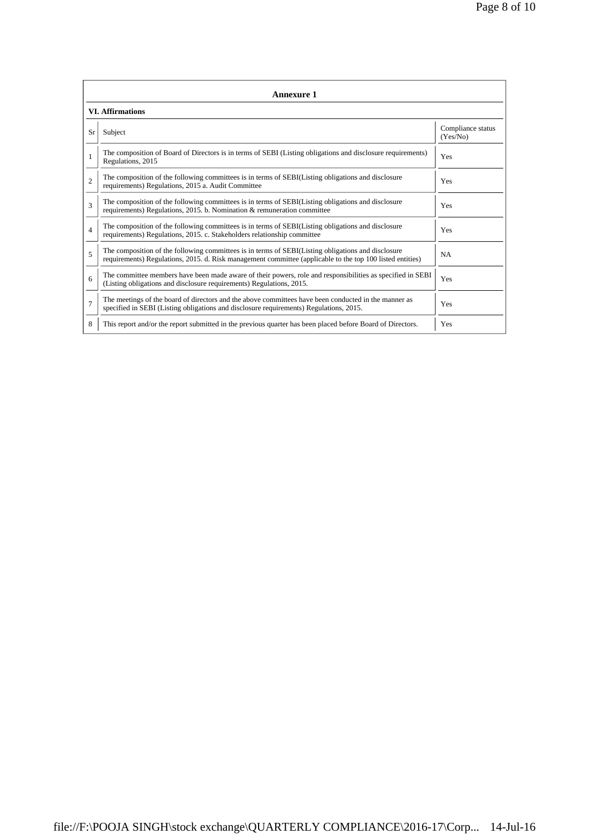|                | <b>Annexure 1</b>                                                                                                                                                                                               |                               |  |  |  |  |  |
|----------------|-----------------------------------------------------------------------------------------------------------------------------------------------------------------------------------------------------------------|-------------------------------|--|--|--|--|--|
|                | <b>VI. Affirmations</b>                                                                                                                                                                                         |                               |  |  |  |  |  |
| Sr             | Subject                                                                                                                                                                                                         | Compliance status<br>(Yes/No) |  |  |  |  |  |
|                | The composition of Board of Directors is in terms of SEBI (Listing obligations and disclosure requirements)<br>Regulations, 2015                                                                                | Yes                           |  |  |  |  |  |
| $\mathfrak{D}$ | The composition of the following committees is in terms of SEBI(Listing obligations and disclosure<br>requirements) Regulations, 2015 a. Audit Committee                                                        | Yes                           |  |  |  |  |  |
| $\mathbf{3}$   | The composition of the following committees is in terms of SEBI(Listing obligations and disclosure<br>requirements) Regulations, 2015. b. Nomination & remuneration committee                                   | Yes                           |  |  |  |  |  |
| $\overline{4}$ | The composition of the following committees is in terms of SEBI(Listing obligations and disclosure<br>requirements) Regulations, 2015. c. Stakeholders relationship committee                                   | Yes                           |  |  |  |  |  |
| 5              | The composition of the following committees is in terms of SEBI(Listing obligations and disclosure<br>requirements) Regulations, 2015. d. Risk management committee (applicable to the top 100 listed entities) | NA                            |  |  |  |  |  |
| 6              | The committee members have been made aware of their powers, role and responsibilities as specified in SEBI<br>(Listing obligations and disclosure requirements) Regulations, 2015.                              | Yes                           |  |  |  |  |  |
| $\overline{7}$ | The meetings of the board of directors and the above committees have been conducted in the manner as<br>specified in SEBI (Listing obligations and disclosure requirements) Regulations, 2015.                  | Yes                           |  |  |  |  |  |
| 8              | This report and/or the report submitted in the previous quarter has been placed before Board of Directors.                                                                                                      | Yes                           |  |  |  |  |  |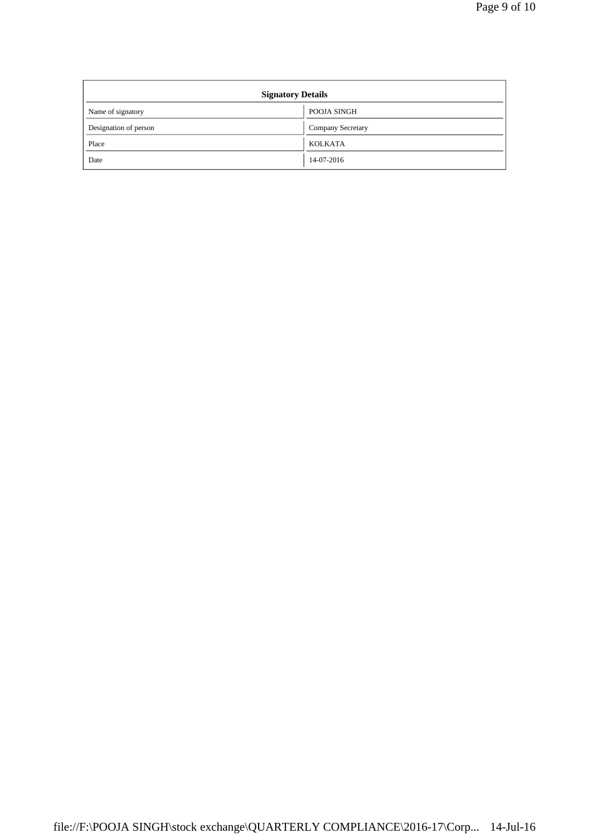| <b>Signatory Details</b> |                   |  |  |  |
|--------------------------|-------------------|--|--|--|
| Name of signatory        | POOJA SINGH       |  |  |  |
| Designation of person    | Company Secretary |  |  |  |
| Place                    | <b>KOLKATA</b>    |  |  |  |
| Date                     | 14-07-2016        |  |  |  |